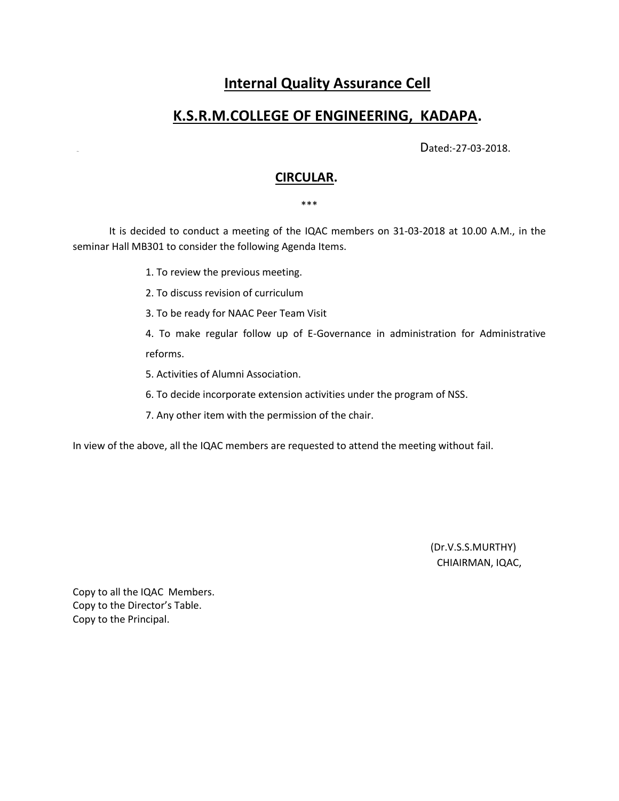# **Internal Quality Assurance Cell**

# **K.S.R.M.COLLEGE OF ENGINEERING, KADAPA.**

Dated:-27-03-2018.

## **CIRCULAR.**

\*\*\*

 It is decided to conduct a meeting of the IQAC members on 31-03-2018 at 10.00 A.M., in the seminar Hall MB301 to consider the following Agenda Items.

1. To review the previous meeting.

2. To discuss revision of curriculum

3. To be ready for NAAC Peer Team Visit

4. To make regular follow up of E-Governance in administration for Administrative reforms.

5. Activities of Alumni Association.

6. To decide incorporate extension activities under the program of NSS.

7. Any other item with the permission of the chair.

In view of the above, all the IQAC members are requested to attend the meeting without fail.

 (Dr.V.S.S.MURTHY) CHIAIRMAN, IQAC,

Copy to all the IQAC Members. Copy to the Director's Table. Copy to the Principal.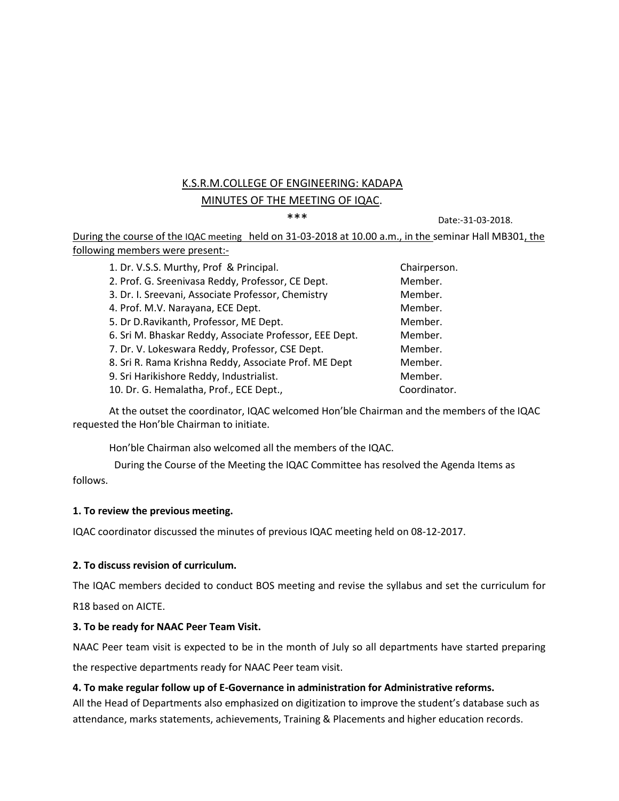# K.S.R.M.COLLEGE OF ENGINEERING: KADAPA MINUTES OF THE MEETING OF IQAC.

\*\*\* Date:-31-03-2018.

During the course of the IQAC meeting held on 31-03-2018 at 10.00 a.m., in the seminar Hall MB301, the following members were present:-

| 1. Dr. V.S.S. Murthy, Prof & Principal.                 | Chairperson. |
|---------------------------------------------------------|--------------|
| 2. Prof. G. Sreenivasa Reddy, Professor, CE Dept.       | Member.      |
| 3. Dr. I. Sreevani, Associate Professor, Chemistry      | Member.      |
| 4. Prof. M.V. Narayana, ECE Dept.                       | Member.      |
| 5. Dr D. Ravikanth, Professor, ME Dept.                 | Member.      |
| 6. Sri M. Bhaskar Reddy, Associate Professor, EEE Dept. | Member.      |
| 7. Dr. V. Lokeswara Reddy, Professor, CSE Dept.         | Member.      |
| 8. Sri R. Rama Krishna Reddy, Associate Prof. ME Dept   | Member.      |
| 9. Sri Harikishore Reddy, Industrialist.                | Member.      |
| 10. Dr. G. Hemalatha, Prof., ECE Dept.,                 | Coordinator. |

At the outset the coordinator, IQAC welcomed Hon'ble Chairman and the members of the IQAC requested the Hon'ble Chairman to initiate.

Hon'ble Chairman also welcomed all the members of the IQAC.

 During the Course of the Meeting the IQAC Committee has resolved the Agenda Items as follows.

## **1. To review the previous meeting.**

IQAC coordinator discussed the minutes of previous IQAC meeting held on 08-12-2017.

#### **2. To discuss revision of curriculum.**

The IQAC members decided to conduct BOS meeting and revise the syllabus and set the curriculum for R18 based on AICTE.

## **3. To be ready for NAAC Peer Team Visit.**

NAAC Peer team visit is expected to be in the month of July so all departments have started preparing

the respective departments ready for NAAC Peer team visit.

#### **4. To make regular follow up of E-Governance in administration for Administrative reforms.**

All the Head of Departments also emphasized on digitization to improve the student's database such as attendance, marks statements, achievements, Training & Placements and higher education records.